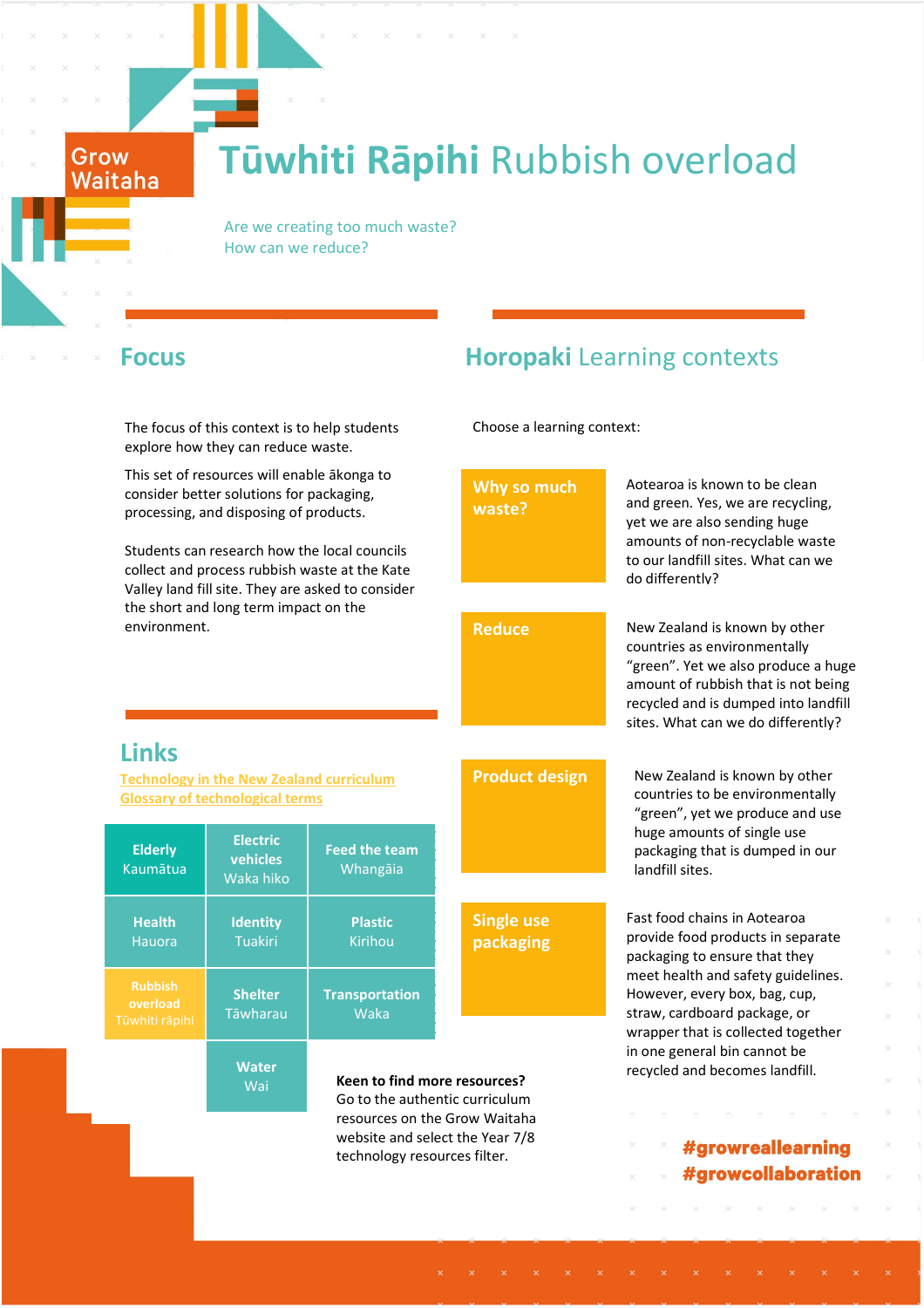### **Tūwhiti Rāpihi** Rubbish overload

Are we creating too much waste?  $\blacksquare$ How can we reduce?

Grow Waitaha

The focus of this context is to help students explore how they can reduce waste.

### **Focus Horopaki** Learning contexts

Choose a learning context:

| This set of resources will enable ākonga to<br>consider better solutions for packaging,<br>processing, and disposing of products.<br>Students can research how the local councils<br>collect and process rubbish waste at the Kate<br>Valley land fill site. They are asked to consider<br>the short and long term impact on the<br>environment. |                                          |                                                                                                  | Why so much<br>waste?          | Aotearoa is known to be clean<br>and green. Yes, we are recycling,<br>yet we are also sending huge<br>amounts of non-recyclable waste<br>to our landfill sites. What can we<br>do differently?                                                  |
|--------------------------------------------------------------------------------------------------------------------------------------------------------------------------------------------------------------------------------------------------------------------------------------------------------------------------------------------------|------------------------------------------|--------------------------------------------------------------------------------------------------|--------------------------------|-------------------------------------------------------------------------------------------------------------------------------------------------------------------------------------------------------------------------------------------------|
|                                                                                                                                                                                                                                                                                                                                                  |                                          |                                                                                                  | <b>Reduce</b>                  | New Zealand is known by other<br>countries as environmentally<br>"green". Yet we also produce a huge<br>amount of rubbish that is not being<br>recycled and is dumped into landfill<br>sites. What can we do differently?                       |
| <b>Links</b>                                                                                                                                                                                                                                                                                                                                     |                                          |                                                                                                  |                                |                                                                                                                                                                                                                                                 |
| <b>Technology in the New Zealand curriculum</b><br><b>Glossary of technological terms</b>                                                                                                                                                                                                                                                        |                                          |                                                                                                  | <b>Product design</b>          | New Zealand is known by other<br>countries to be environmentally<br>"green", yet we produce and use                                                                                                                                             |
| <b>Elderly</b><br><b>Kaumātua</b>                                                                                                                                                                                                                                                                                                                | <b>Electric</b><br>vehicles<br>Waka hiko | <b>Feed the team</b><br>Whangāia                                                                 |                                | huge amounts of single use<br>packaging that is dumped in our<br>landfill sites.                                                                                                                                                                |
| <b>Health</b><br><b>Hauora</b>                                                                                                                                                                                                                                                                                                                   | <b>Identity</b><br>Tuakiri               | <b>Plastic</b><br>Kirihou                                                                        | <b>Single use</b><br>packaging | Fast food chains in Aotearoa<br>provide food products in separate<br>packaging to ensure that they<br>meet health and safety guidelines.<br>However, every box, bag, cup,<br>straw, cardboard package, or<br>wrapper that is collected together |
| <b>Rubbish</b><br>overload<br>ūwhiti rāpihi                                                                                                                                                                                                                                                                                                      | <b>Shelter</b><br>Tāwharau               | <b>Transportation</b><br>Waka                                                                    |                                |                                                                                                                                                                                                                                                 |
|                                                                                                                                                                                                                                                                                                                                                  | <b>Water</b><br>Wai                      | Keen to find more resources?<br>Go to the authentic curriculum                                   |                                | in one general bin cannot be<br>recycled and becomes landfill.                                                                                                                                                                                  |
|                                                                                                                                                                                                                                                                                                                                                  |                                          | resources on the Grow Waitaha<br>website and select the Year 7/8<br>technology resources filter. |                                | #growreallearning<br>#growcollaboration                                                                                                                                                                                                         |
|                                                                                                                                                                                                                                                                                                                                                  |                                          |                                                                                                  |                                |                                                                                                                                                                                                                                                 |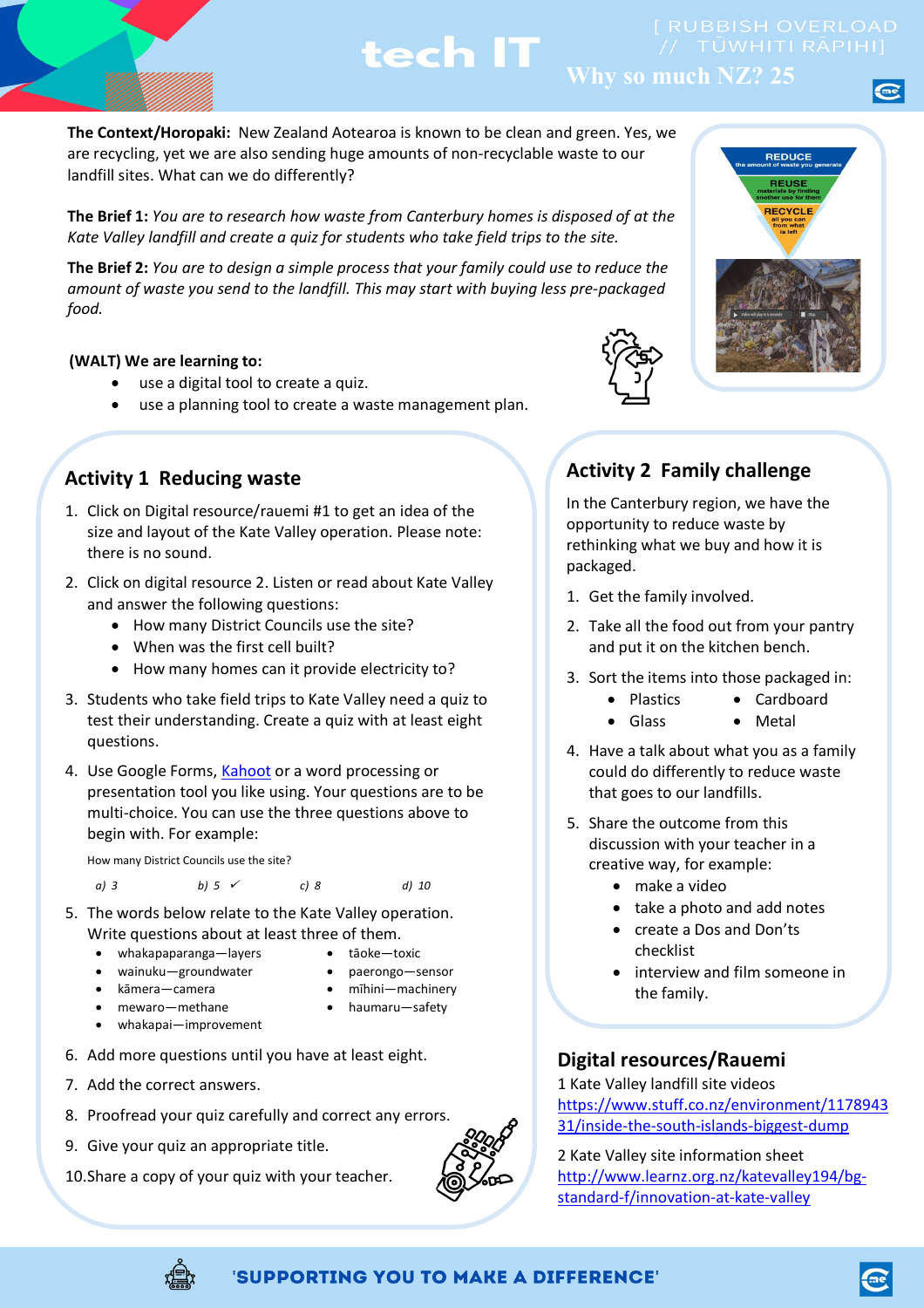

### **Why so much NZ? 25**

**The Context/Horopaki:** New Zealand Aotearoa is known to be clean and green. Yes, we are recycling, yet we are also sending huge amounts of non-recyclable waste to our landfill sites. What can we do differently?

**The Brief 1:** *You are to research how waste from Canterbury homes is disposed of at the Kate Valley landfill and create a quiz for students who take field trips to the site.* 

**The Brief 2:** *You are to design a simple process that your family could use to reduce the amount of waste you send to the landfill. This may start with buying less pre-packaged food.*

#### **(WALT) We are learning to:**

- use a digital tool to create a quiz.
- use a planning tool to create a waste management plan.

#### **Activity 1 Reducing waste**

- 1. Click on Digital resource/rauemi #1 to get an idea of the size and layout of the Kate Valley operation. Please note: there is no sound.
- 2. Click on digital resource 2. Listen or read about Kate Valley and answer the following questions:
	- How many District Councils use the site?
	- When was the first cell built?
	- How many homes can it provide electricity to?
- 3. Students who take field trips to Kate Valley need a quiz to test their understanding. Create a quiz with at least eight questions.
- 4. Use Google Forms[, Kahoot](https://kahoot.com/) or a word processing or presentation tool you like using. Your questions are to be multi-choice. You can use the three questions above to begin with. For example:

How many District Councils use the site?

*a) 3 b) 5 c) 8 d) 10*

- 5. The words below relate to the Kate Valley operation. Write questions about at least three of them.
	- whakapaparanga—layers tāoke—toxic
	- wainuku-groundwater paerongo-sensor
	- kāmera—camera mīhini—machinery
	- mewaro—methane haumaru—safety
	- whakapai—improvement
- 6. Add more questions until you have at least eight.
- 7. Add the correct answers.
- 8. Proofread your quiz carefully and correct any errors.
- 9. Give your quiz an appropriate title.
- 10.Share a copy of your quiz with your teacher.





# REDUCE **REUS RECYCLE**

#### **Activity 2 Family challenge**

In the Canterbury region, we have the opportunity to reduce waste by rethinking what we buy and how it is packaged.

- 1. Get the family involved.
- 2. Take all the food out from your pantry and put it on the kitchen bench.
- 3. Sort the items into those packaged in:
	- Plastics Cardboard
	- Glass Metal
- 4. Have a talk about what you as a family could do differently to reduce waste that goes to our landfills.
- 5. Share the outcome from this discussion with your teacher in a creative way, for example:
	- make a video
	- take a photo and add notes
	- create a Dos and Don'ts checklist
	- interview and film someone in the family.

#### **Digital resources/Rauemi**

1 Kate Valley landfill site videos [https://www.stuff.co.nz/environment/1178943](https://www.stuff.co.nz/environment/117894331/inside-the-south-islands-biggest-dump) [31/inside-the-south-islands-biggest-dump](https://www.stuff.co.nz/environment/117894331/inside-the-south-islands-biggest-dump)

2 Kate Valley site information sheet [http://www.learnz.org.nz/katevalley194/bg](http://www.learnz.org.nz/katevalley194/bg-standard-f/innovation-at-kate-valley)[standard-f/innovation-at-kate-valley](http://www.learnz.org.nz/katevalley194/bg-standard-f/innovation-at-kate-valley)



#### 'SUPPORTING YOU TO MAKE A DIFFERENCE'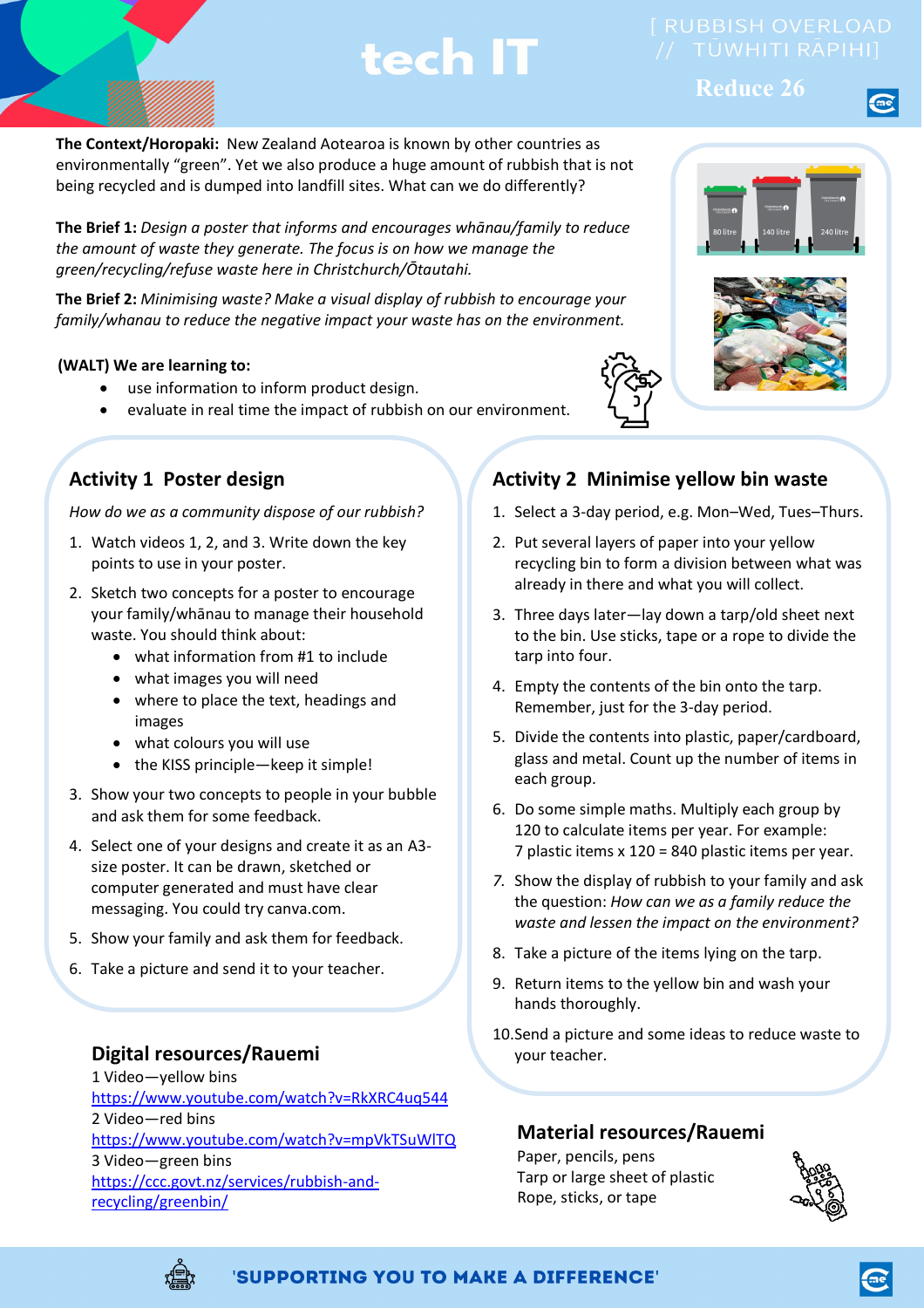**Reduce 26**

**The Context/Horopaki:** New Zealand Aotearoa is known by other countries as environmentally "green". Yet we also produce a huge amount of rubbish that is not being recycled and is dumped into landfill sites. What can we do differently?

**The Brief 1:** *Design a poster that informs and encourages whānau/family to reduce the amount of waste they generate. The focus is on how we manage the green/recycling/refuse waste here in Christchurch/Ōtautahi.*

**The Brief 2:** *Minimising waste? Make a visual display of rubbish to encourage your family/whanau to reduce the negative impact your waste has on the environment.* 

#### **(WALT) We are learning to:**

- use information to inform product design.
- evaluate in real time the impact of rubbish on our environment.

### **Activity 1 Poster design**

*How do we as a community dispose of our rubbish?*

- 1. Watch videos 1, 2, and 3. Write down the key points to use in your poster.
- 2. Sketch two concepts for a poster to encourage your family/whānau to manage their household waste. You should think about:
	- what information from #1 to include
	- what images you will need
	- where to place the text, headings and images
	- what colours you will use
	- the KISS principle—keep it simple!
- 3. Show your two concepts to people in your bubble and ask them for some feedback.
- 4. Select one of your designs and create it as an A3 size poster. It can be drawn, sketched or computer generated and must have clear messaging. You could try canva.com.
- 5. Show your family and ask them for feedback.
- 6. Take a picture and send it to your teacher.

#### **Digital resources/Rauemi**

1 Video—yellow bins <https://www.youtube.com/watch?v=RkXRC4uq544> 2 Video—red bins <https://www.youtube.com/watch?v=mpVkTSuWlTQ> 3 Video—green bins [https://ccc.govt.nz/services/rubbish-and](https://ccc.govt.nz/services/rubbish-and-recycling/greenbin/)[recycling/greenbin/](https://ccc.govt.nz/services/rubbish-and-recycling/greenbin/)

### **Activity 2 Minimise yellow bin waste**

- 1. Select a 3-day period, e.g. Mon–Wed, Tues–Thurs.
- 2. Put several layers of paper into your yellow recycling bin to form a division between what was already in there and what you will collect.
- 3. Three days later—lay down a tarp/old sheet next to the bin. Use sticks, tape or a rope to divide the tarp into four.
- 4. Empty the contents of the bin onto the tarp. Remember, just for the 3-day period.
- 5. Divide the contents into plastic, paper/cardboard, glass and metal. Count up the number of items in each group.
- 6. Do some simple maths. Multiply each group by 120 to calculate items per year. For example: 7 plastic items x 120 = 840 plastic items per year.
- *7.* Show the display of rubbish to your family and ask the question: *How can we as a family reduce the waste and lessen the impact on the environment?*
- 8. Take a picture of the items lying on the tarp.
- 9. Return items to the yellow bin and wash your hands thoroughly.
- 10.Send a picture and some ideas to reduce waste to your teacher.

#### **Material resources/Rauemi**

Paper, pencils, pens Tarp or large sheet of plastic Rope, sticks, or tape





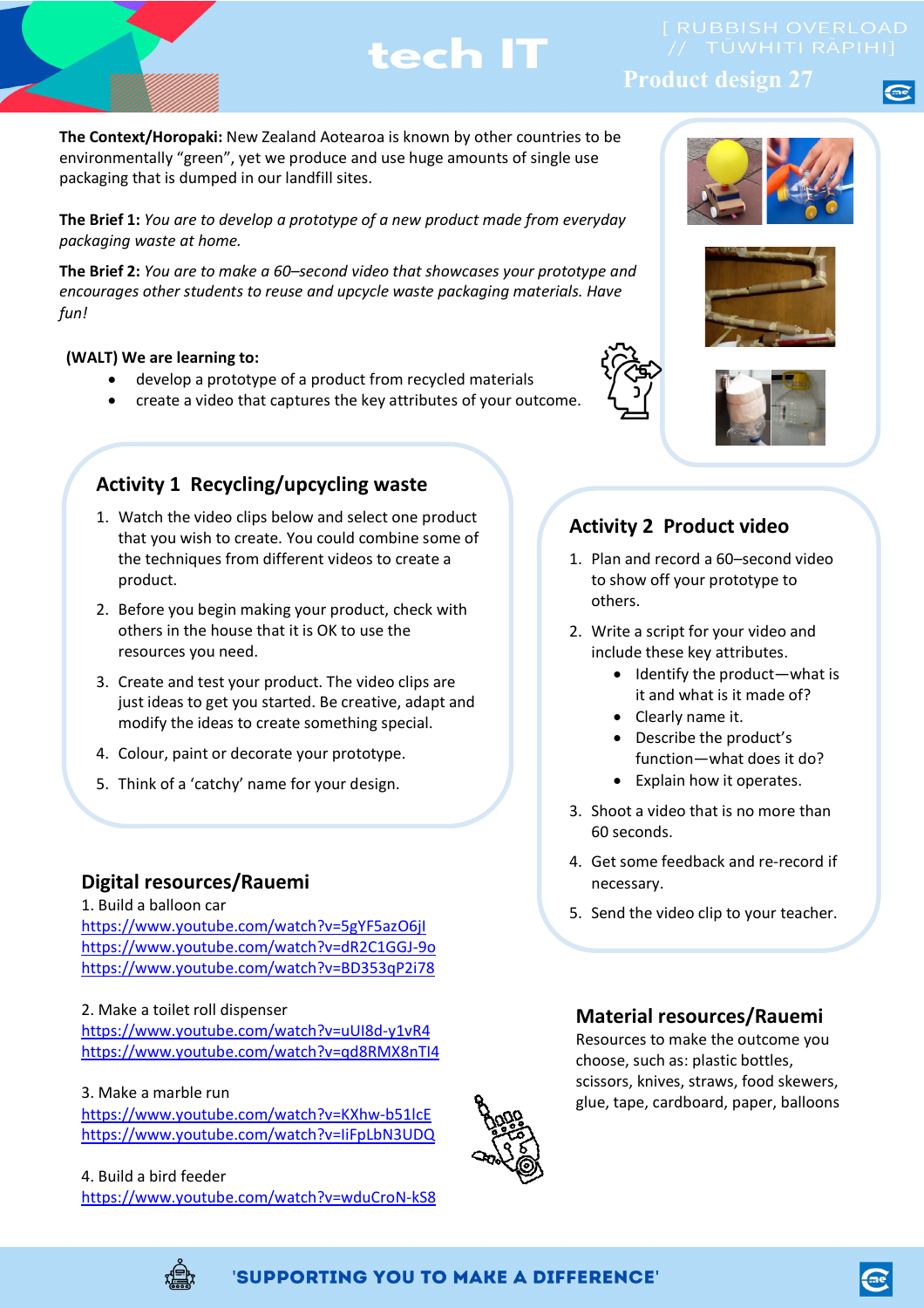**Product design 27**

**The Context/Horopaki:** New Zealand Aotearoa is known by other countries to be environmentally "green", yet we produce and use huge amounts of single use packaging that is dumped in our landfill sites.

**The Brief 1:** *You are to develop a prototype of a new product made from everyday packaging waste at home.* 

**The Brief 2:** *You are to make a 60–second video that showcases your prototype and encourages other students to reuse and upcycle waste packaging materials. Have fun!*

#### **(WALT) We are learning to:**

- develop a prototype of a product from recycled materials
- create a video that captures the key attributes of your outcome.

#### **Activity 1 Recycling/upcycling waste**

- 1. Watch the video clips below and select one product that you wish to create. You could combine some of the techniques from different videos to create a product.
- 2. Before you begin making your product, check with others in the house that it is OK to use the resources you need.
- 3. Create and test your product. The video clips are just ideas to get you started. Be creative, adapt and modify the ideas to create something special.
- 4. Colour, paint or decorate your prototype.
- 5. Think of a 'catchy' name for your design.

#### **Digital resources/Rauemi**

1. Build a balloon car <https://www.youtube.com/watch?v=5gYF5azO6jI> <https://www.youtube.com/watch?v=dR2C1GGJ-9o> <https://www.youtube.com/watch?v=BD353qP2i78>

2. Make a toilet roll dispenser <https://www.youtube.com/watch?v=uUI8d-y1vR4> <https://www.youtube.com/watch?v=qd8RMX8nTI4>

3. Make a marble run <https://www.youtube.com/watch?v=KXhw-b51lcE> <https://www.youtube.com/watch?v=IiFpLbN3UDQ>

4. Build a bird feeder <https://www.youtube.com/watch?v=wduCroN-kS8>







#### **Activity 2 Product video**

- 1. Plan and record a 60–second video to show off your prototype to others.
- 2. Write a script for your video and include these key attributes.
	- Identify the product—what is it and what is it made of?
	- Clearly name it.
	- Describe the product's function—what does it do?
	- Explain how it operates.
- 3. Shoot a video that is no more than 60 seconds.
- 4. Get some feedback and re-record if necessary.
- 5. Send the video clip to your teacher.

#### **Material resources/Rauemi**

Resources to make the outcome you choose, such as: plastic bottles, scissors, knives, straws, food skewers, glue, tape, cardboard, paper, balloons

'SUPPORTING YOU TO MAKE A DIFFERENCE'